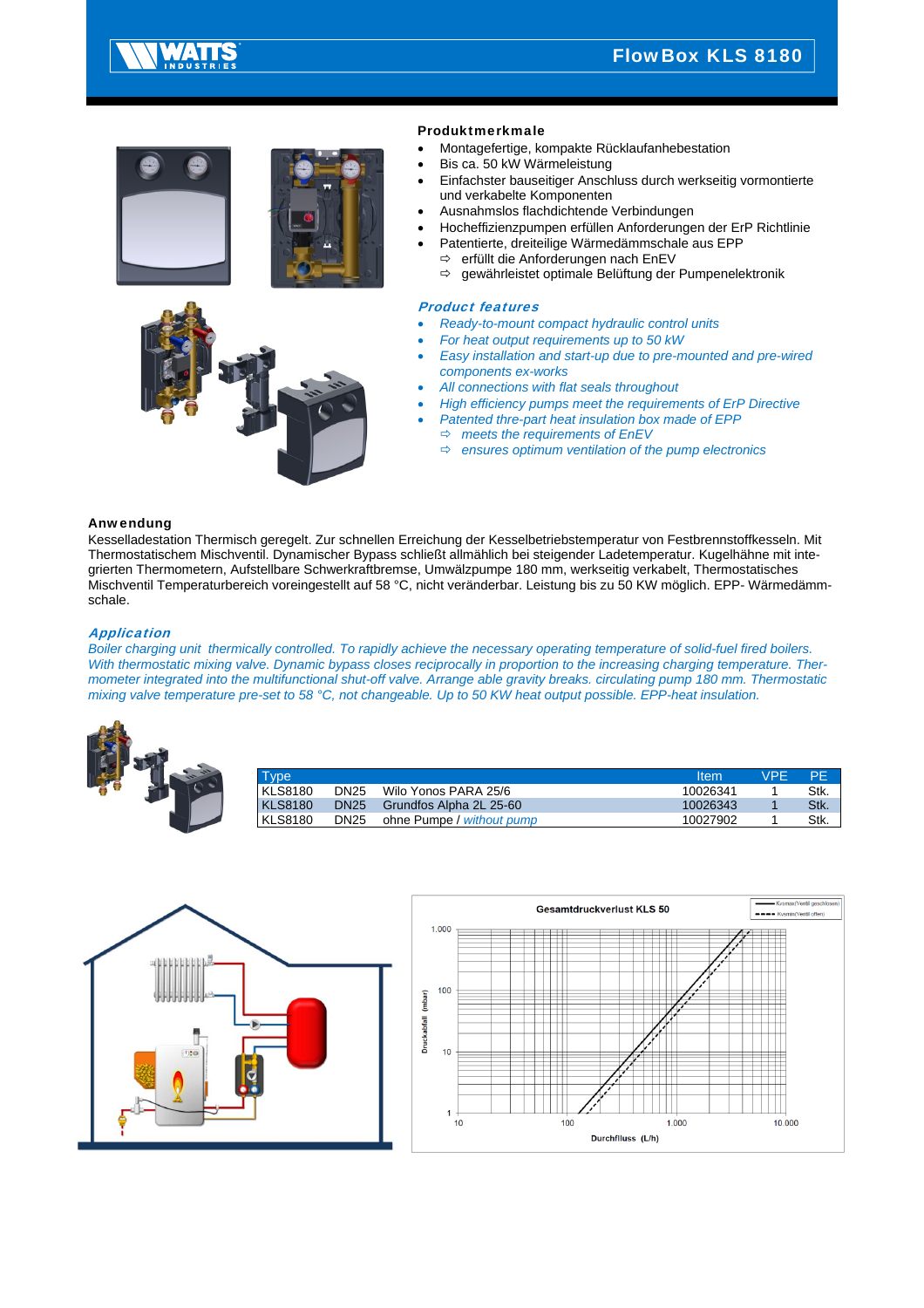



## Produktmerkmale

- Montagefertige, kompakte Rücklaufanhebestation
- Bis ca. 50 kW Wärmeleistung
- Einfachster bauseitiger Anschluss durch werkseitig vormontierte und verkabelte Komponenten
- Ausnahmslos flachdichtende Verbindungen
- Hocheffizienzpumpen erfüllen Anforderungen der ErP Richtlinie
- Patentierte, dreiteilige Wärmedämmschale aus EPP  $\Rightarrow$  erfüllt die Anforderungen nach EnEV
	- gewährleistet optimale Belüftung der Pumpenelektronik

#### Product features

- *Ready-to-mount compact hydraulic control units*
- *For heat output requirements up to 50 kW*
- *Easy installation and start-up due to pre-mounted and pre-wired components ex-works*
- *All connections with flat seals throughout*
- *High efficiency pumps meet the requirements of ErP Directive*
- *Patented thre-part heat insulation box made of EPP*
- *meets the requirements of EnEV*
- *ensures optimum ventilation of the pump electronics*

### Anwendung

Kesselladestation Thermisch geregelt. Zur schnellen Erreichung der Kesselbetriebstemperatur von Festbrennstoffkesseln. Mit Thermostatischem Mischventil. Dynamischer Bypass schließt allmählich bei steigender Ladetemperatur. Kugelhähne mit integrierten Thermometern, Aufstellbare Schwerkraftbremse, Umwälzpumpe 180 mm, werkseitig verkabelt, Thermostatisches Mischventil Temperaturbereich voreingestellt auf 58 °C, nicht veränderbar. Leistung bis zu 50 KW möglich. EPP- Wärmedämmschale.

#### Application

*Boiler charging unit thermically controlled. To rapidly achieve the necessary operating temperature of solid-fuel fired boilers. With thermostatic mixing valve. Dynamic bypass closes reciprocally in proportion to the increasing charging temperature. Thermometer integrated into the multifunctional shut-off valve. Arrange able gravity breaks. circulating pump 180 mm. Thermostatic mixing valve temperature pre-set to 58 °C, not changeable. Up to 50 KW heat output possible. EPP-heat insulation.* 

|  | Type           |             |                           | Item     | <b>VPE</b> | -PF  |
|--|----------------|-------------|---------------------------|----------|------------|------|
|  | <b>KLS8180</b> | <b>DN25</b> | Wilo Yonos PARA 25/6      | 10026341 |            | Stk. |
|  | <b>KLS8180</b> | <b>DN25</b> | Grundfos Alpha 2L 25-60   | 10026343 |            | Stk. |
|  | <b>KLS8180</b> | <b>DN25</b> | ohne Pumpe / without pump | 10027902 |            | Stk. |